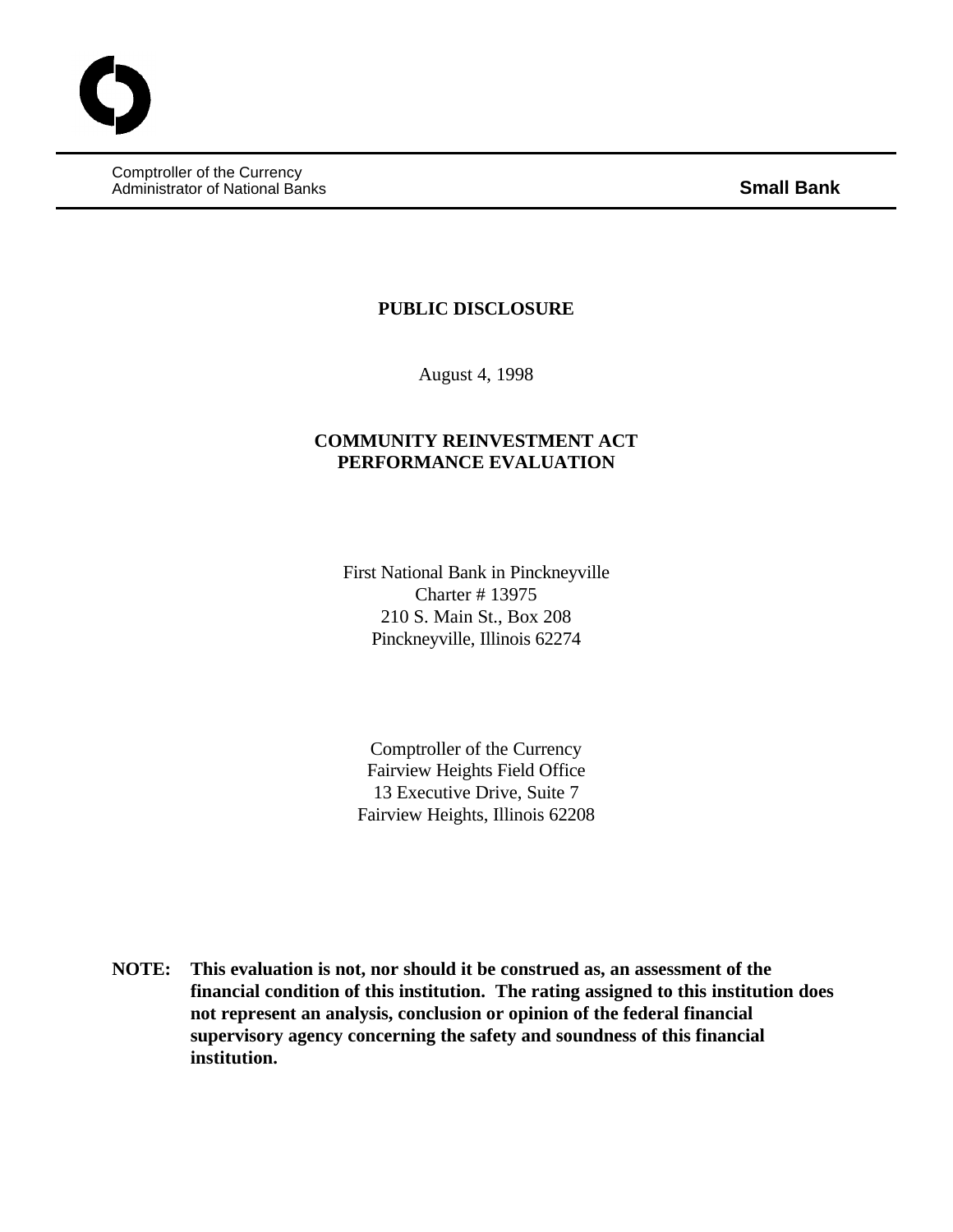Comptroller of the Currency Administrator of National Banks **Small Bank**

### **PUBLIC DISCLOSURE**

August 4, 1998

# **COMMUNITY REINVESTMENT ACT PERFORMANCE EVALUATION**

First National Bank in Pinckneyville Charter # 13975 210 S. Main St., Box 208 Pinckneyville, Illinois 62274

Comptroller of the Currency Fairview Heights Field Office 13 Executive Drive, Suite 7 Fairview Heights, Illinois 62208

**NOTE: This evaluation is not, nor should it be construed as, an assessment of the financial condition of this institution. The rating assigned to this institution does not represent an analysis, conclusion or opinion of the federal financial supervisory agency concerning the safety and soundness of this financial institution.**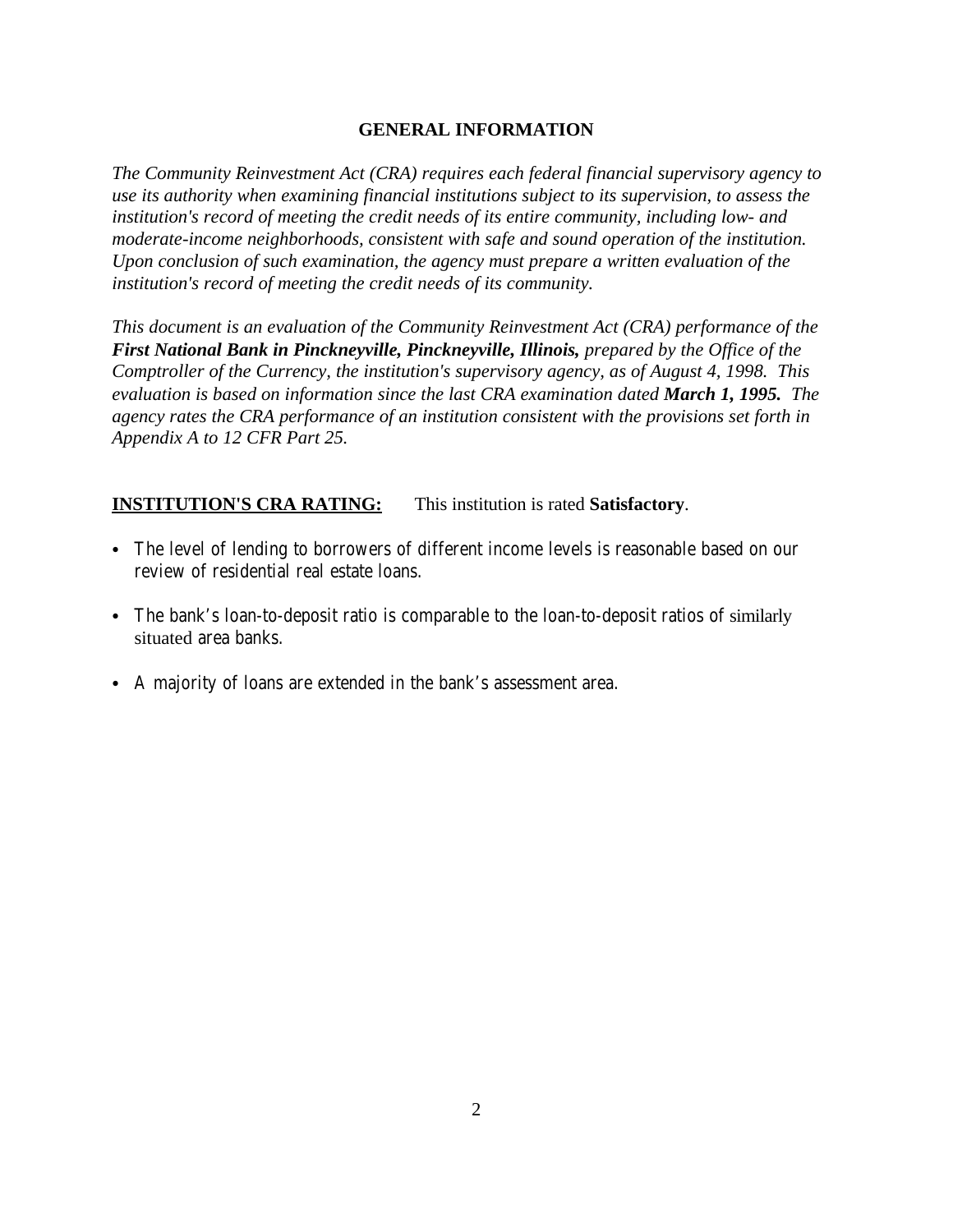# **GENERAL INFORMATION**

*The Community Reinvestment Act (CRA) requires each federal financial supervisory agency to use its authority when examining financial institutions subject to its supervision, to assess the institution's record of meeting the credit needs of its entire community, including low- and moderate-income neighborhoods, consistent with safe and sound operation of the institution. Upon conclusion of such examination, the agency must prepare a written evaluation of the institution's record of meeting the credit needs of its community.* 

*This document is an evaluation of the Community Reinvestment Act (CRA) performance of the First National Bank in Pinckneyville, Pinckneyville, Illinois, prepared by the Office of the Comptroller of the Currency, the institution's supervisory agency, as of August 4, 1998. This evaluation is based on information since the last CRA examination dated March 1, 1995. The agency rates the CRA performance of an institution consistent with the provisions set forth in Appendix A to 12 CFR Part 25.*

# **INSTITUTION'S CRA RATING:** This institution is rated **Satisfactory**.

- The level of lending to borrowers of different income levels is reasonable based on our review of residential real estate loans.
- The bank's loan-to-deposit ratio is comparable to the loan-to-deposit ratios of similarly situated area banks.
- A majority of loans are extended in the bank's assessment area.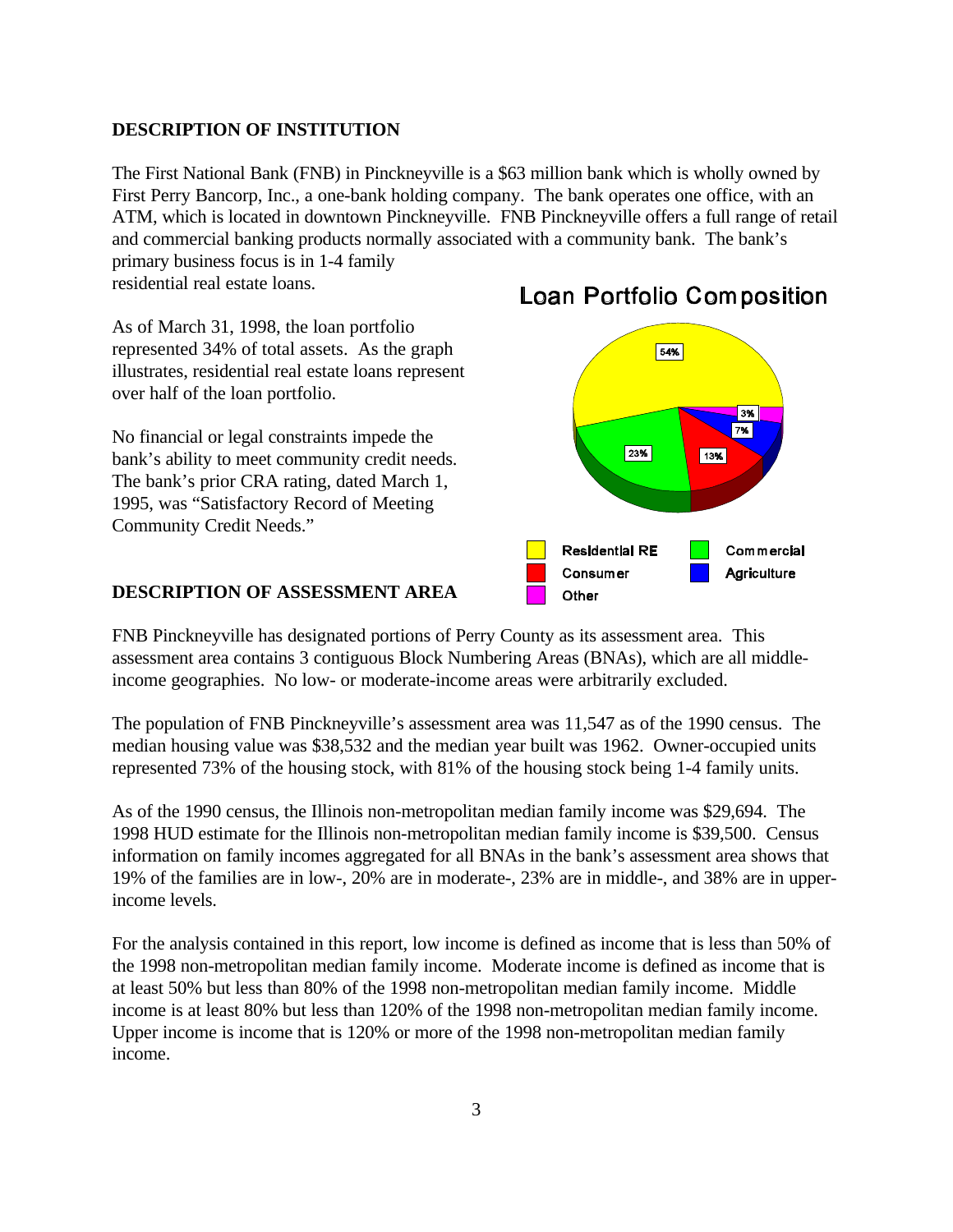### **DESCRIPTION OF INSTITUTION**

The First National Bank (FNB) in Pinckneyville is a \$63 million bank which is wholly owned by First Perry Bancorp, Inc., a one-bank holding company. The bank operates one office, with an ATM, which is located in downtown Pinckneyville. FNB Pinckneyville offers a full range of retail and commercial banking products normally associated with a community bank. The bank's primary business focus is in 1-4 family

residential real estate loans.

As of March 31, 1998, the loan portfolio represented 34% of total assets. As the graph illustrates, residential real estate loans represent over half of the loan portfolio.

No financial or legal constraints impede the bank's ability to meet community credit needs. The bank's prior CRA rating, dated March 1, 1995, was "Satisfactory Record of Meeting Community Credit Needs."

#### **DESCRIPTION OF ASSESSMENT AREA**





FNB Pinckneyville has designated portions of Perry County as its assessment area. This assessment area contains 3 contiguous Block Numbering Areas (BNAs), which are all middleincome geographies. No low- or moderate-income areas were arbitrarily excluded.

The population of FNB Pinckneyville's assessment area was 11,547 as of the 1990 census. The median housing value was \$38,532 and the median year built was 1962. Owner-occupied units represented 73% of the housing stock, with 81% of the housing stock being 1-4 family units.

As of the 1990 census, the Illinois non-metropolitan median family income was \$29,694. The 1998 HUD estimate for the Illinois non-metropolitan median family income is \$39,500. Census information on family incomes aggregated for all BNAs in the bank's assessment area shows that 19% of the families are in low-, 20% are in moderate-, 23% are in middle-, and 38% are in upperincome levels.

For the analysis contained in this report, low income is defined as income that is less than 50% of the 1998 non-metropolitan median family income. Moderate income is defined as income that is at least 50% but less than 80% of the 1998 non-metropolitan median family income. Middle income is at least 80% but less than 120% of the 1998 non-metropolitan median family income. Upper income is income that is 120% or more of the 1998 non-metropolitan median family income.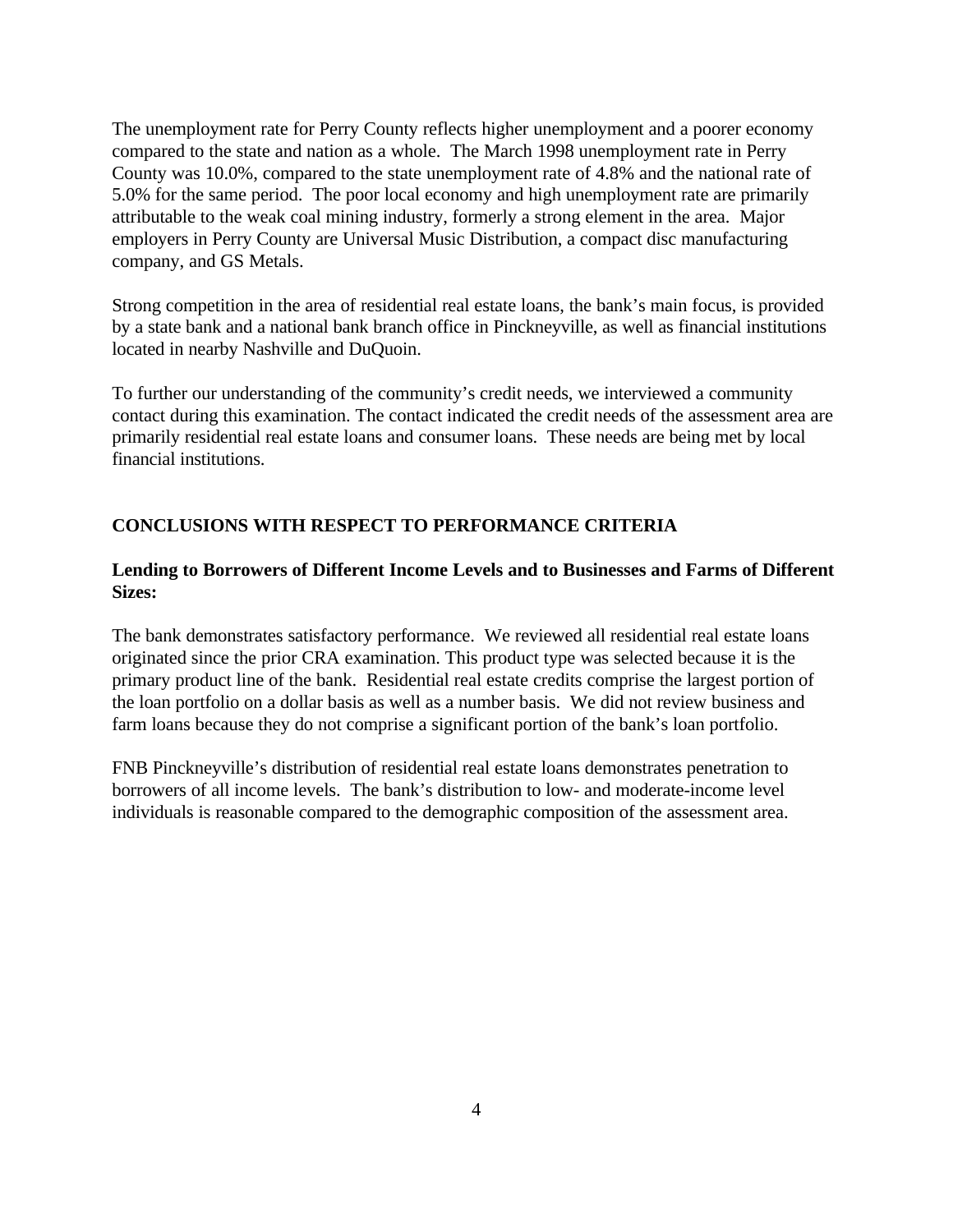The unemployment rate for Perry County reflects higher unemployment and a poorer economy compared to the state and nation as a whole. The March 1998 unemployment rate in Perry County was 10.0%, compared to the state unemployment rate of 4.8% and the national rate of 5.0% for the same period. The poor local economy and high unemployment rate are primarily attributable to the weak coal mining industry, formerly a strong element in the area. Major employers in Perry County are Universal Music Distribution, a compact disc manufacturing company, and GS Metals.

Strong competition in the area of residential real estate loans, the bank's main focus, is provided by a state bank and a national bank branch office in Pinckneyville, as well as financial institutions located in nearby Nashville and DuQuoin.

To further our understanding of the community's credit needs, we interviewed a community contact during this examination. The contact indicated the credit needs of the assessment area are primarily residential real estate loans and consumer loans. These needs are being met by local financial institutions.

# **CONCLUSIONS WITH RESPECT TO PERFORMANCE CRITERIA**

### **Lending to Borrowers of Different Income Levels and to Businesses and Farms of Different Sizes:**

The bank demonstrates satisfactory performance. We reviewed all residential real estate loans originated since the prior CRA examination. This product type was selected because it is the primary product line of the bank. Residential real estate credits comprise the largest portion of the loan portfolio on a dollar basis as well as a number basis. We did not review business and farm loans because they do not comprise a significant portion of the bank's loan portfolio.

FNB Pinckneyville's distribution of residential real estate loans demonstrates penetration to borrowers of all income levels. The bank's distribution to low- and moderate-income level individuals is reasonable compared to the demographic composition of the assessment area.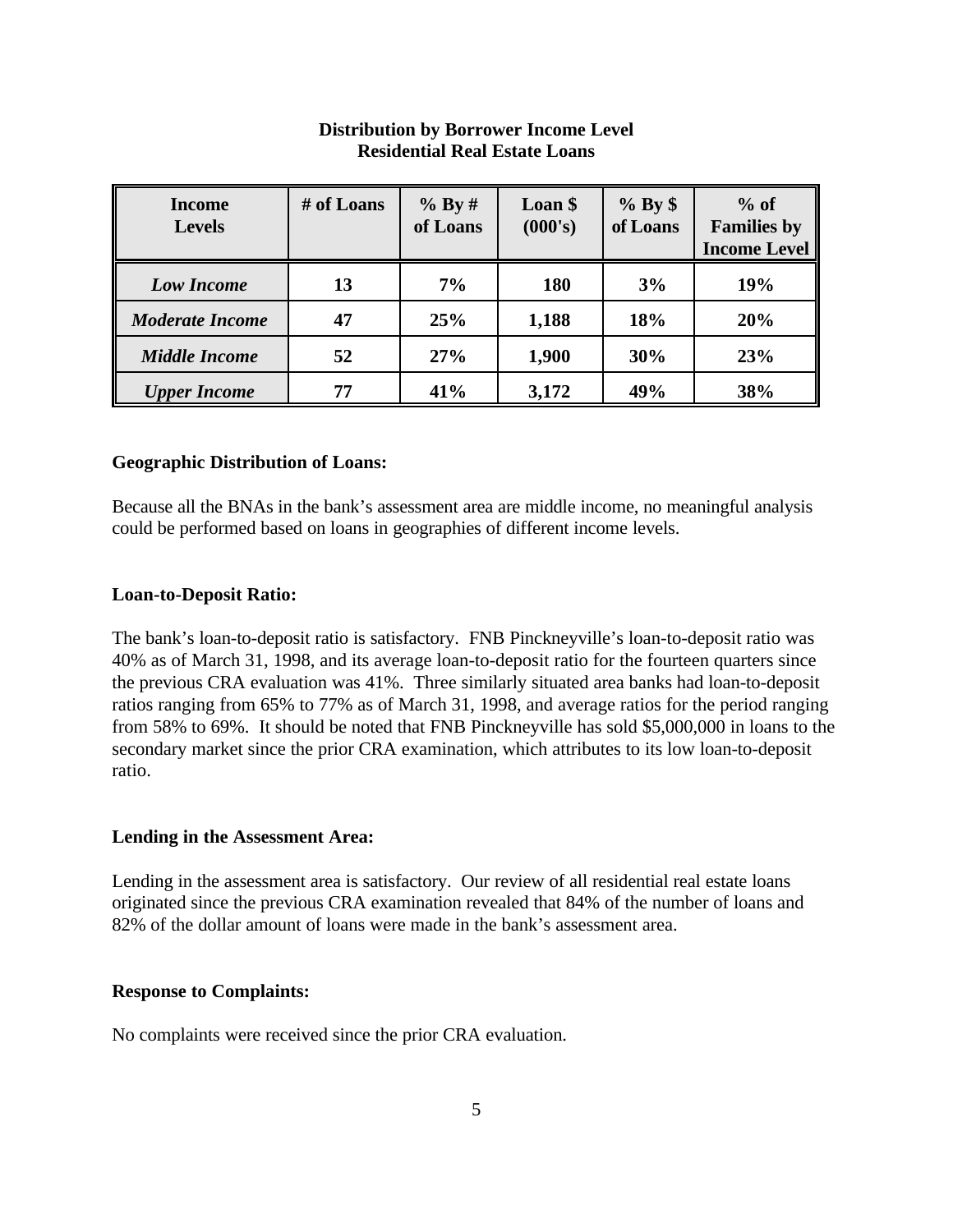| <b>Income</b><br><b>Levels</b> | # of Loans | % By#<br>of Loans | Loan \$<br>(000's) | $%$ By $\$<br>of Loans | $%$ of<br><b>Families by</b><br><b>Income Level</b> |
|--------------------------------|------------|-------------------|--------------------|------------------------|-----------------------------------------------------|
| <b>Low Income</b>              | 13         | 7%                | 180                | 3%                     | 19%                                                 |
| <b>Moderate Income</b>         | 47         | 25%               | 1,188              | 18%                    | 20%                                                 |
| <b>Middle Income</b>           | 52         | 27%               | 1,900              | 30%                    | 23%                                                 |
| <b>Upper Income</b>            | 77         | 41%               | 3,172              | 49%                    | 38%                                                 |

# **Distribution by Borrower Income Level Residential Real Estate Loans**

### **Geographic Distribution of Loans:**

Because all the BNAs in the bank's assessment area are middle income, no meaningful analysis could be performed based on loans in geographies of different income levels.

### **Loan-to-Deposit Ratio:**

The bank's loan-to-deposit ratio is satisfactory. FNB Pinckneyville's loan-to-deposit ratio was 40% as of March 31, 1998, and its average loan-to-deposit ratio for the fourteen quarters since the previous CRA evaluation was 41%. Three similarly situated area banks had loan-to-deposit ratios ranging from 65% to 77% as of March 31, 1998, and average ratios for the period ranging from 58% to 69%. It should be noted that FNB Pinckneyville has sold \$5,000,000 in loans to the secondary market since the prior CRA examination, which attributes to its low loan-to-deposit ratio.

### **Lending in the Assessment Area:**

Lending in the assessment area is satisfactory. Our review of all residential real estate loans originated since the previous CRA examination revealed that 84% of the number of loans and 82% of the dollar amount of loans were made in the bank's assessment area.

### **Response to Complaints:**

No complaints were received since the prior CRA evaluation.